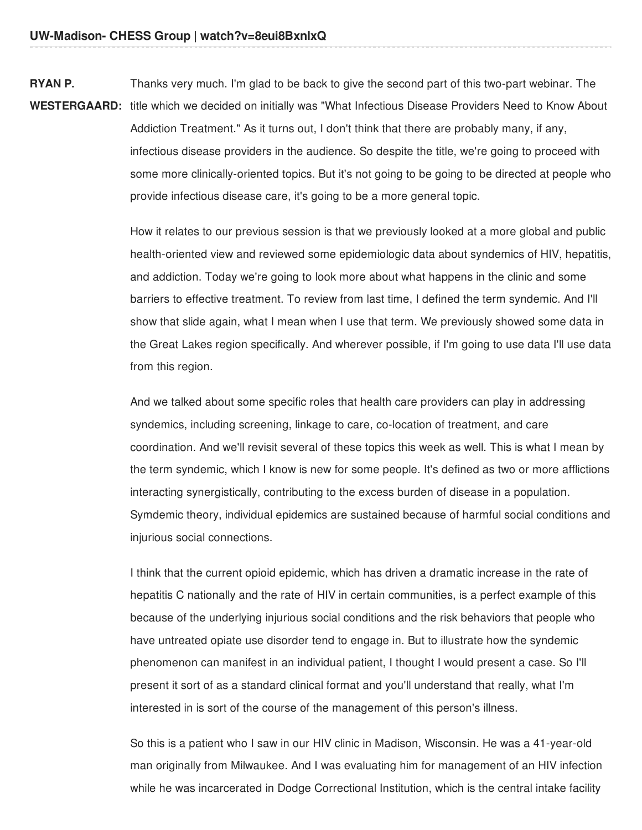**RYAN P.** Thanks very much. I'm glad to be back to give the second part of this two-part webinar. The

WESTERGAARD: title which we decided on initially was "What Infectious Disease Providers Need to Know About Addiction Treatment." As it turns out, I don't think that there are probably many, if any, infectious disease providers in the audience. So despite the title, we're going to proceed with some more clinically-oriented topics. But it's not going to be going to be directed at people who provide infectious disease care, it's going to be a more general topic.

> How it relates to our previous session is that we previously looked at a more global and public health-oriented view and reviewed some epidemiologic data about syndemics of HIV, hepatitis, and addiction. Today we're going to look more about what happens in the clinic and some barriers to effective treatment. To review from last time, I defined the term syndemic. And I'll show that slide again, what I mean when I use that term. We previously showed some data in the Great Lakes region specifically. And wherever possible, if I'm going to use data I'll use data from this region.

> And we talked about some specific roles that health care providers can play in addressing syndemics, including screening, linkage to care, co-location of treatment, and care coordination. And we'll revisit several of these topics this week as well. This is what I mean by the term syndemic, which I know is new for some people. It's defined as two or more afflictions interacting synergistically, contributing to the excess burden of disease in a population. Symdemic theory, individual epidemics are sustained because of harmful social conditions and injurious social connections.

I think that the current opioid epidemic, which has driven a dramatic increase in the rate of hepatitis C nationally and the rate of HIV in certain communities, is a perfect example of this because of the underlying injurious social conditions and the risk behaviors that people who have untreated opiate use disorder tend to engage in. But to illustrate how the syndemic phenomenon can manifest in an individual patient, I thought I would present a case. So I'll present it sort of as a standard clinical format and you'll understand that really, what I'm interested in is sort of the course of the management of this person's illness.

So this is a patient who I saw in our HIV clinic in Madison, Wisconsin. He was a 41-year-old man originally from Milwaukee. And I was evaluating him for management of an HIV infection while he was incarcerated in Dodge Correctional Institution, which is the central intake facility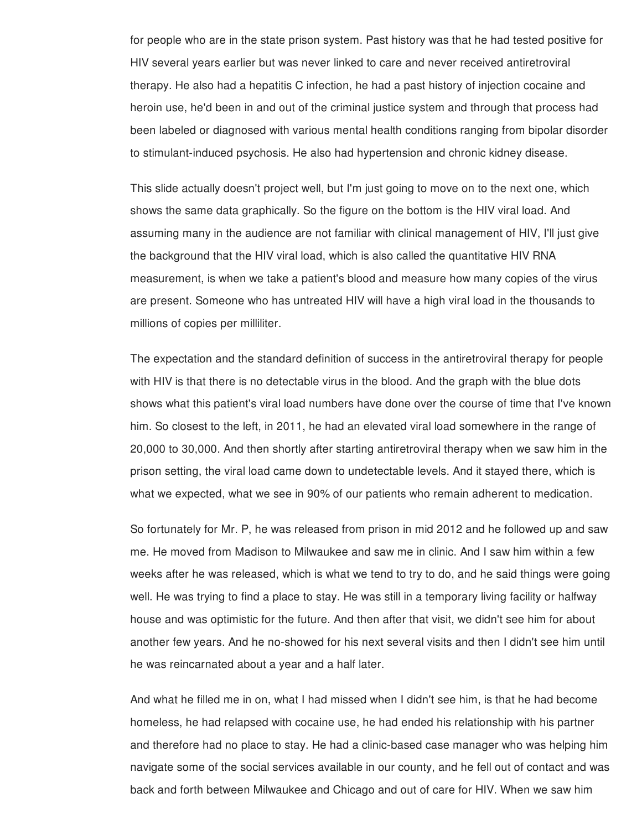for people who are in the state prison system. Past history was that he had tested positive for HIV several years earlier but was never linked to care and never received antiretroviral therapy. He also had a hepatitis C infection, he had a past history of injection cocaine and heroin use, he'd been in and out of the criminal justice system and through that process had been labeled or diagnosed with various mental health conditions ranging from bipolar disorder to stimulant-induced psychosis. He also had hypertension and chronic kidney disease.

This slide actually doesn't project well, but I'm just going to move on to the next one, which shows the same data graphically. So the figure on the bottom is the HIV viral load. And assuming many in the audience are not familiar with clinical management of HIV, I'll just give the background that the HIV viral load, which is also called the quantitative HIV RNA measurement, is when we take a patient's blood and measure how many copies of the virus are present. Someone who has untreated HIV will have a high viral load in the thousands to millions of copies per milliliter.

The expectation and the standard definition of success in the antiretroviral therapy for people with HIV is that there is no detectable virus in the blood. And the graph with the blue dots shows what this patient's viral load numbers have done over the course of time that I've known him. So closest to the left, in 2011, he had an elevated viral load somewhere in the range of 20,000 to 30,000. And then shortly after starting antiretroviral therapy when we saw him in the prison setting, the viral load came down to undetectable levels. And it stayed there, which is what we expected, what we see in 90% of our patients who remain adherent to medication.

So fortunately for Mr. P, he was released from prison in mid 2012 and he followed up and saw me. He moved from Madison to Milwaukee and saw me in clinic. And I saw him within a few weeks after he was released, which is what we tend to try to do, and he said things were going well. He was trying to find a place to stay. He was still in a temporary living facility or halfway house and was optimistic for the future. And then after that visit, we didn't see him for about another few years. And he no-showed for his next several visits and then I didn't see him until he was reincarnated about a year and a half later.

And what he filled me in on, what I had missed when I didn't see him, is that he had become homeless, he had relapsed with cocaine use, he had ended his relationship with his partner and therefore had no place to stay. He had a clinic-based case manager who was helping him navigate some of the social services available in our county, and he fell out of contact and was back and forth between Milwaukee and Chicago and out of care for HIV. When we saw him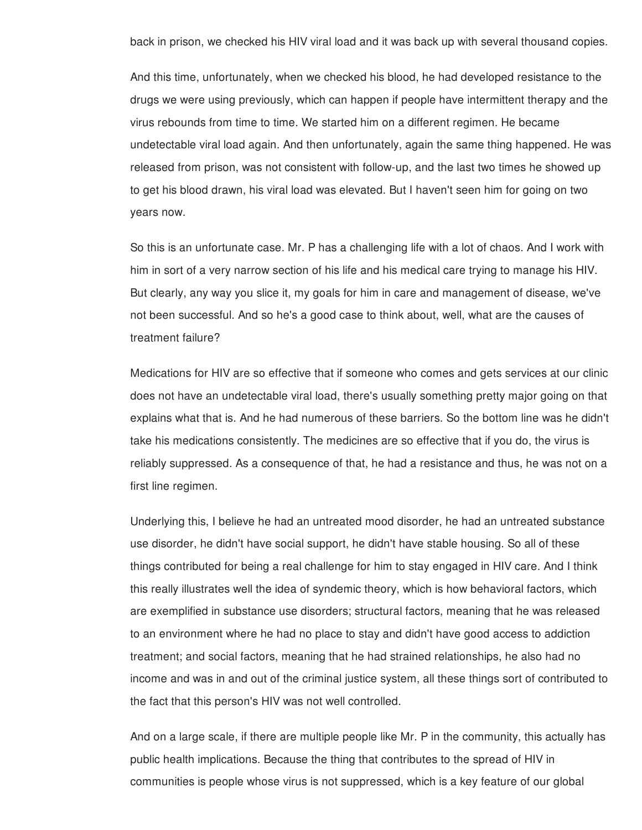back in prison, we checked his HIV viral load and it was back up with several thousand copies.

And this time, unfortunately, when we checked his blood, he had developed resistance to the drugs we were using previously, which can happen if people have intermittent therapy and the virus rebounds from time to time. We started him on a different regimen. He became undetectable viral load again. And then unfortunately, again the same thing happened. He was released from prison, was not consistent with follow-up, and the last two times he showed up to get his blood drawn, his viral load was elevated. But I haven't seen him for going on two years now.

So this is an unfortunate case. Mr. P has a challenging life with a lot of chaos. And I work with him in sort of a very narrow section of his life and his medical care trying to manage his HIV. But clearly, any way you slice it, my goals for him in care and management of disease, we've not been successful. And so he's a good case to think about, well, what are the causes of treatment failure?

Medications for HIV are so effective that if someone who comes and gets services at our clinic does not have an undetectable viral load, there's usually something pretty major going on that explains what that is. And he had numerous of these barriers. So the bottom line was he didn't take his medications consistently. The medicines are so effective that if you do, the virus is reliably suppressed. As a consequence of that, he had a resistance and thus, he was not on a first line regimen.

Underlying this, I believe he had an untreated mood disorder, he had an untreated substance use disorder, he didn't have social support, he didn't have stable housing. So all of these things contributed for being a real challenge for him to stay engaged in HIV care. And I think this really illustrates well the idea of syndemic theory, which is how behavioral factors, which are exemplified in substance use disorders; structural factors, meaning that he was released to an environment where he had no place to stay and didn't have good access to addiction treatment; and social factors, meaning that he had strained relationships, he also had no income and was in and out of the criminal justice system, all these things sort of contributed to the fact that this person's HIV was not well controlled.

And on a large scale, if there are multiple people like Mr. P in the community, this actually has public health implications. Because the thing that contributes to the spread of HIV in communities is people whose virus is not suppressed, which is a key feature of our global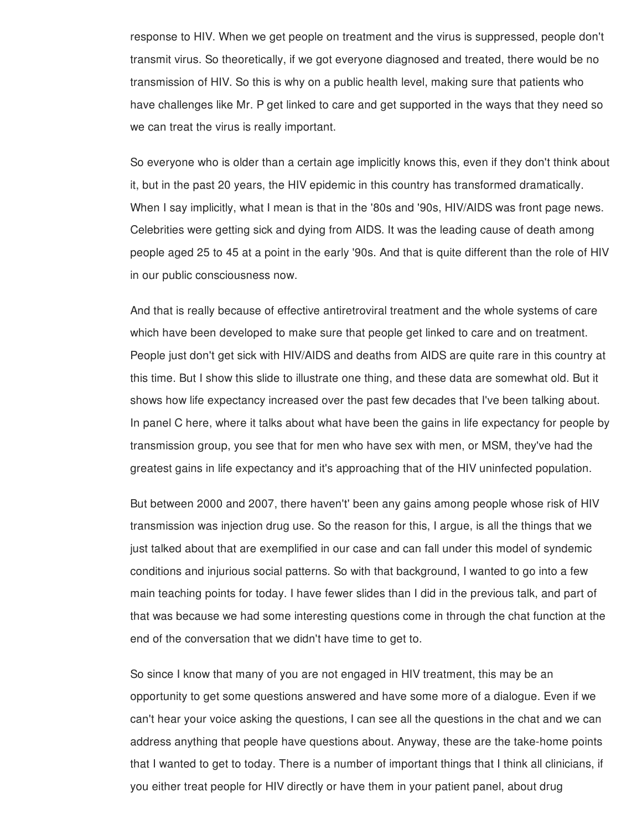response to HIV. When we get people on treatment and the virus is suppressed, people don't transmit virus. So theoretically, if we got everyone diagnosed and treated, there would be no transmission of HIV. So this is why on a public health level, making sure that patients who have challenges like Mr. P get linked to care and get supported in the ways that they need so we can treat the virus is really important.

So everyone who is older than a certain age implicitly knows this, even if they don't think about it, but in the past 20 years, the HIV epidemic in this country has transformed dramatically. When I say implicitly, what I mean is that in the '80s and '90s, HIV/AIDS was front page news. Celebrities were getting sick and dying from AIDS. It was the leading cause of death among people aged 25 to 45 at a point in the early '90s. And that is quite different than the role of HIV in our public consciousness now.

And that is really because of effective antiretroviral treatment and the whole systems of care which have been developed to make sure that people get linked to care and on treatment. People just don't get sick with HIV/AIDS and deaths from AIDS are quite rare in this country at this time. But I show this slide to illustrate one thing, and these data are somewhat old. But it shows how life expectancy increased over the past few decades that I've been talking about. In panel C here, where it talks about what have been the gains in life expectancy for people by transmission group, you see that for men who have sex with men, or MSM, they've had the greatest gains in life expectancy and it's approaching that of the HIV uninfected population.

But between 2000 and 2007, there haven't' been any gains among people whose risk of HIV transmission was injection drug use. So the reason for this, I argue, is all the things that we just talked about that are exemplified in our case and can fall under this model of syndemic conditions and injurious social patterns. So with that background, I wanted to go into a few main teaching points for today. I have fewer slides than I did in the previous talk, and part of that was because we had some interesting questions come in through the chat function at the end of the conversation that we didn't have time to get to.

So since I know that many of you are not engaged in HIV treatment, this may be an opportunity to get some questions answered and have some more of a dialogue. Even if we can't hear your voice asking the questions, I can see all the questions in the chat and we can address anything that people have questions about. Anyway, these are the take-home points that I wanted to get to today. There is a number of important things that I think all clinicians, if you either treat people for HIV directly or have them in your patient panel, about drug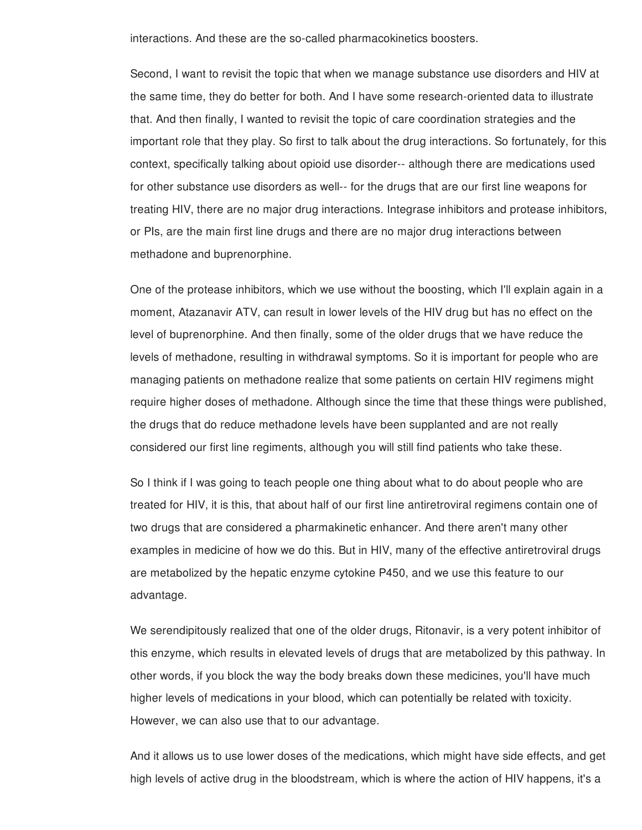interactions. And these are the so-called pharmacokinetics boosters.

Second, I want to revisit the topic that when we manage substance use disorders and HIV at the same time, they do better for both. And I have some research-oriented data to illustrate that. And then finally, I wanted to revisit the topic of care coordination strategies and the important role that they play. So first to talk about the drug interactions. So fortunately, for this context, specifically talking about opioid use disorder-- although there are medications used for other substance use disorders as well-- for the drugs that are our first line weapons for treating HIV, there are no major drug interactions. Integrase inhibitors and protease inhibitors, or PIs, are the main first line drugs and there are no major drug interactions between methadone and buprenorphine.

One of the protease inhibitors, which we use without the boosting, which I'll explain again in a moment, Atazanavir ATV, can result in lower levels of the HIV drug but has no effect on the level of buprenorphine. And then finally, some of the older drugs that we have reduce the levels of methadone, resulting in withdrawal symptoms. So it is important for people who are managing patients on methadone realize that some patients on certain HIV regimens might require higher doses of methadone. Although since the time that these things were published, the drugs that do reduce methadone levels have been supplanted and are not really considered our first line regiments, although you will still find patients who take these.

So I think if I was going to teach people one thing about what to do about people who are treated for HIV, it is this, that about half of our first line antiretroviral regimens contain one of two drugs that are considered a pharmakinetic enhancer. And there aren't many other examples in medicine of how we do this. But in HIV, many of the effective antiretroviral drugs are metabolized by the hepatic enzyme cytokine P450, and we use this feature to our advantage.

We serendipitously realized that one of the older drugs, Ritonavir, is a very potent inhibitor of this enzyme, which results in elevated levels of drugs that are metabolized by this pathway. In other words, if you block the way the body breaks down these medicines, you'll have much higher levels of medications in your blood, which can potentially be related with toxicity. However, we can also use that to our advantage.

And it allows us to use lower doses of the medications, which might have side effects, and get high levels of active drug in the bloodstream, which is where the action of HIV happens, it's a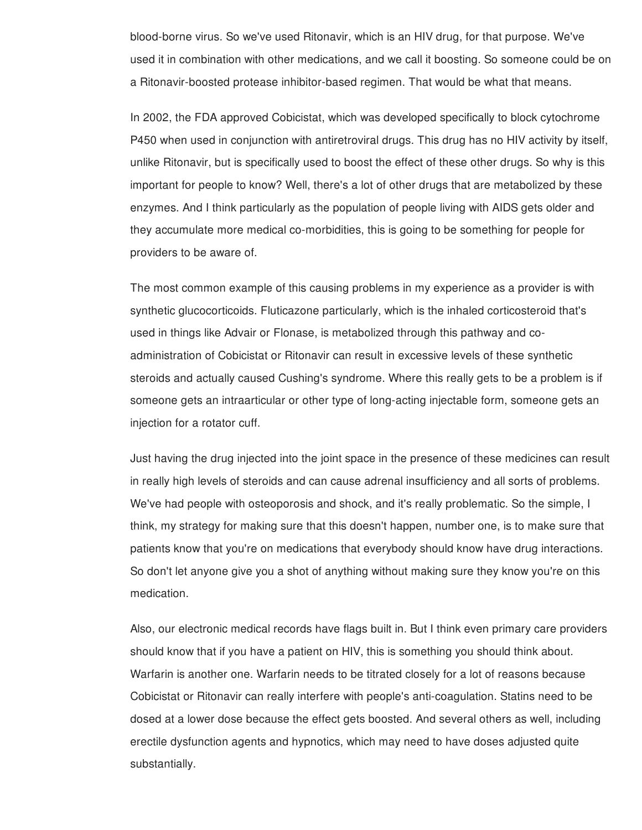blood-borne virus. So we've used Ritonavir, which is an HIV drug, for that purpose. We've used it in combination with other medications, and we call it boosting. So someone could be on a Ritonavir-boosted protease inhibitor-based regimen. That would be what that means.

In 2002, the FDA approved Cobicistat, which was developed specifically to block cytochrome P450 when used in conjunction with antiretroviral drugs. This drug has no HIV activity by itself, unlike Ritonavir, but is specifically used to boost the effect of these other drugs. So why is this important for people to know? Well, there's a lot of other drugs that are metabolized by these enzymes. And I think particularly as the population of people living with AIDS gets older and they accumulate more medical co-morbidities, this is going to be something for people for providers to be aware of.

The most common example of this causing problems in my experience as a provider is with synthetic glucocorticoids. Fluticazone particularly, which is the inhaled corticosteroid that's used in things like Advair or Flonase, is metabolized through this pathway and coadministration of Cobicistat or Ritonavir can result in excessive levels of these synthetic steroids and actually caused Cushing's syndrome. Where this really gets to be a problem is if someone gets an intraarticular or other type of long-acting injectable form, someone gets an injection for a rotator cuff.

Just having the drug injected into the joint space in the presence of these medicines can result in really high levels of steroids and can cause adrenal insufficiency and all sorts of problems. We've had people with osteoporosis and shock, and it's really problematic. So the simple, I think, my strategy for making sure that this doesn't happen, number one, is to make sure that patients know that you're on medications that everybody should know have drug interactions. So don't let anyone give you a shot of anything without making sure they know you're on this medication.

Also, our electronic medical records have flags built in. But I think even primary care providers should know that if you have a patient on HIV, this is something you should think about. Warfarin is another one. Warfarin needs to be titrated closely for a lot of reasons because Cobicistat or Ritonavir can really interfere with people's anti-coagulation. Statins need to be dosed at a lower dose because the effect gets boosted. And several others as well, including erectile dysfunction agents and hypnotics, which may need to have doses adjusted quite substantially.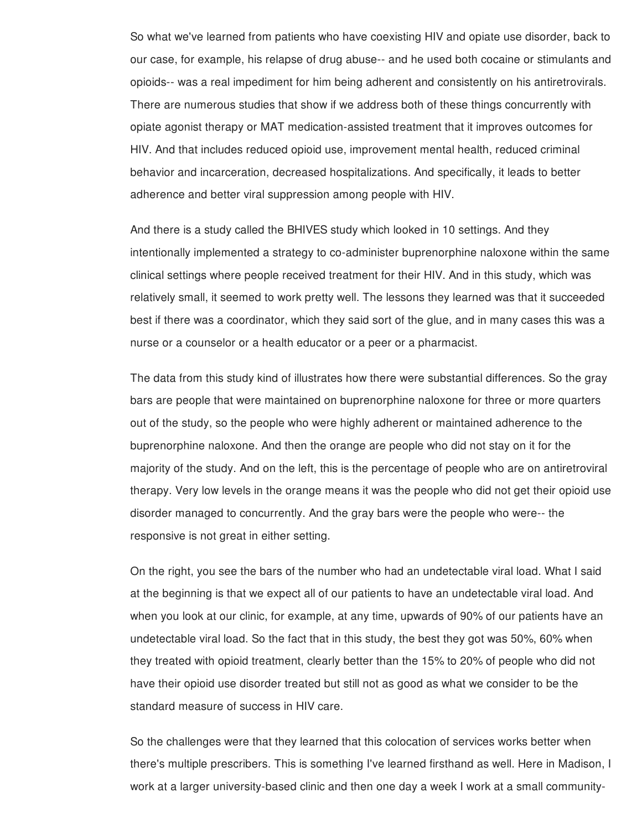So what we've learned from patients who have coexisting HIV and opiate use disorder, back to our case, for example, his relapse of drug abuse-- and he used both cocaine or stimulants and opioids-- was a real impediment for him being adherent and consistently on his antiretrovirals. There are numerous studies that show if we address both of these things concurrently with opiate agonist therapy or MAT medication-assisted treatment that it improves outcomes for HIV. And that includes reduced opioid use, improvement mental health, reduced criminal behavior and incarceration, decreased hospitalizations. And specifically, it leads to better adherence and better viral suppression among people with HIV.

And there is a study called the BHIVES study which looked in 10 settings. And they intentionally implemented a strategy to co-administer buprenorphine naloxone within the same clinical settings where people received treatment for their HIV. And in this study, which was relatively small, it seemed to work pretty well. The lessons they learned was that it succeeded best if there was a coordinator, which they said sort of the glue, and in many cases this was a nurse or a counselor or a health educator or a peer or a pharmacist.

The data from this study kind of illustrates how there were substantial differences. So the gray bars are people that were maintained on buprenorphine naloxone for three or more quarters out of the study, so the people who were highly adherent or maintained adherence to the buprenorphine naloxone. And then the orange are people who did not stay on it for the majority of the study. And on the left, this is the percentage of people who are on antiretroviral therapy. Very low levels in the orange means it was the people who did not get their opioid use disorder managed to concurrently. And the gray bars were the people who were-- the responsive is not great in either setting.

On the right, you see the bars of the number who had an undetectable viral load. What I said at the beginning is that we expect all of our patients to have an undetectable viral load. And when you look at our clinic, for example, at any time, upwards of 90% of our patients have an undetectable viral load. So the fact that in this study, the best they got was 50%, 60% when they treated with opioid treatment, clearly better than the 15% to 20% of people who did not have their opioid use disorder treated but still not as good as what we consider to be the standard measure of success in HIV care.

So the challenges were that they learned that this colocation of services works better when there's multiple prescribers. This is something I've learned firsthand as well. Here in Madison, I work at a larger university-based clinic and then one day a week I work at a small community-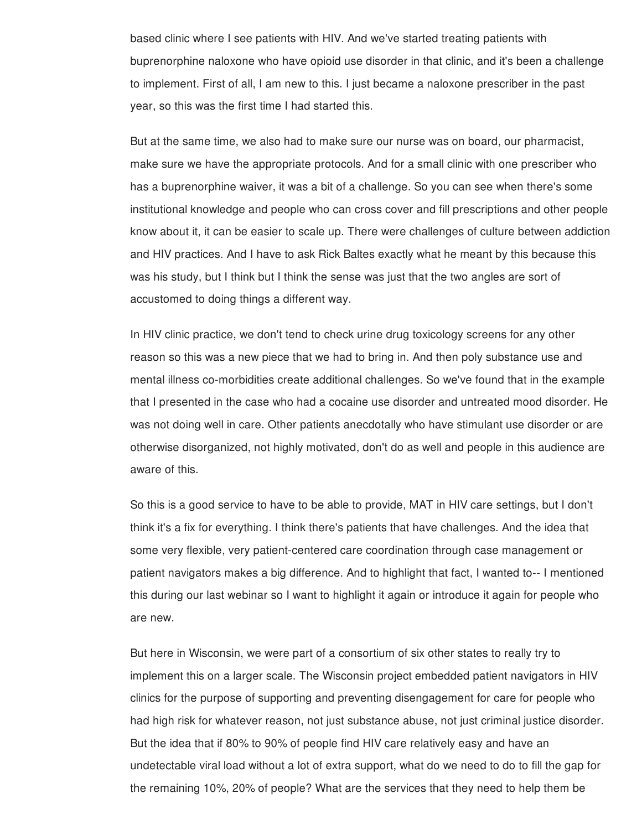based clinic where I see patients with HIV. And we've started treating patients with buprenorphine naloxone who have opioid use disorder in that clinic, and it's been a challenge to implement. First of all, I am new to this. I just became a naloxone prescriber in the past year, so this was the first time I had started this.

But at the same time, we also had to make sure our nurse was on board, our pharmacist, make sure we have the appropriate protocols. And for a small clinic with one prescriber who has a buprenorphine waiver, it was a bit of a challenge. So you can see when there's some institutional knowledge and people who can cross cover and fill prescriptions and other people know about it, it can be easier to scale up. There were challenges of culture between addiction and HIV practices. And I have to ask Rick Baltes exactly what he meant by this because this was his study, but I think but I think the sense was just that the two angles are sort of accustomed to doing things a different way.

In HIV clinic practice, we don't tend to check urine drug toxicology screens for any other reason so this was a new piece that we had to bring in. And then poly substance use and mental illness co-morbidities create additional challenges. So we've found that in the example that I presented in the case who had a cocaine use disorder and untreated mood disorder. He was not doing well in care. Other patients anecdotally who have stimulant use disorder or are otherwise disorganized, not highly motivated, don't do as well and people in this audience are aware of this.

So this is a good service to have to be able to provide, MAT in HIV care settings, but I don't think it's a fix for everything. I think there's patients that have challenges. And the idea that some very flexible, very patient-centered care coordination through case management or patient navigators makes a big difference. And to highlight that fact, I wanted to-- I mentioned this during our last webinar so I want to highlight it again or introduce it again for people who are new.

But here in Wisconsin, we were part of a consortium of six other states to really try to implement this on a larger scale. The Wisconsin project embedded patient navigators in HIV clinics for the purpose of supporting and preventing disengagement for care for people who had high risk for whatever reason, not just substance abuse, not just criminal justice disorder. But the idea that if 80% to 90% of people find HIV care relatively easy and have an undetectable viral load without a lot of extra support, what do we need to do to fill the gap for the remaining 10%, 20% of people? What are the services that they need to help them be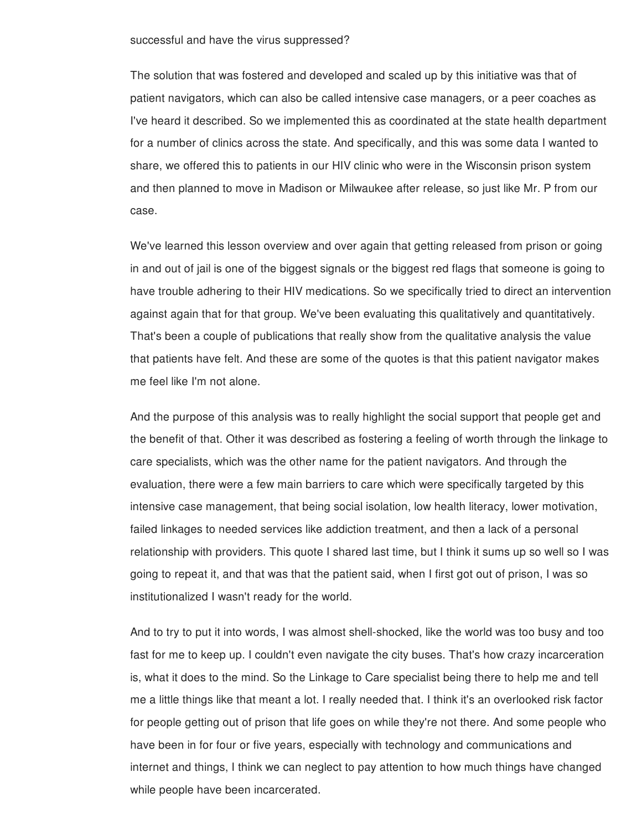## successful and have the virus suppressed?

The solution that was fostered and developed and scaled up by this initiative was that of patient navigators, which can also be called intensive case managers, or a peer coaches as I've heard it described. So we implemented this as coordinated at the state health department for a number of clinics across the state. And specifically, and this was some data I wanted to share, we offered this to patients in our HIV clinic who were in the Wisconsin prison system and then planned to move in Madison or Milwaukee after release, so just like Mr. P from our case.

We've learned this lesson overview and over again that getting released from prison or going in and out of jail is one of the biggest signals or the biggest red flags that someone is going to have trouble adhering to their HIV medications. So we specifically tried to direct an intervention against again that for that group. We've been evaluating this qualitatively and quantitatively. That's been a couple of publications that really show from the qualitative analysis the value that patients have felt. And these are some of the quotes is that this patient navigator makes me feel like I'm not alone.

And the purpose of this analysis was to really highlight the social support that people get and the benefit of that. Other it was described as fostering a feeling of worth through the linkage to care specialists, which was the other name for the patient navigators. And through the evaluation, there were a few main barriers to care which were specifically targeted by this intensive case management, that being social isolation, low health literacy, lower motivation, failed linkages to needed services like addiction treatment, and then a lack of a personal relationship with providers. This quote I shared last time, but I think it sums up so well so I was going to repeat it, and that was that the patient said, when I first got out of prison, I was so institutionalized I wasn't ready for the world.

And to try to put it into words, I was almost shell-shocked, like the world was too busy and too fast for me to keep up. I couldn't even navigate the city buses. That's how crazy incarceration is, what it does to the mind. So the Linkage to Care specialist being there to help me and tell me a little things like that meant a lot. I really needed that. I think it's an overlooked risk factor for people getting out of prison that life goes on while they're not there. And some people who have been in for four or five years, especially with technology and communications and internet and things, I think we can neglect to pay attention to how much things have changed while people have been incarcerated.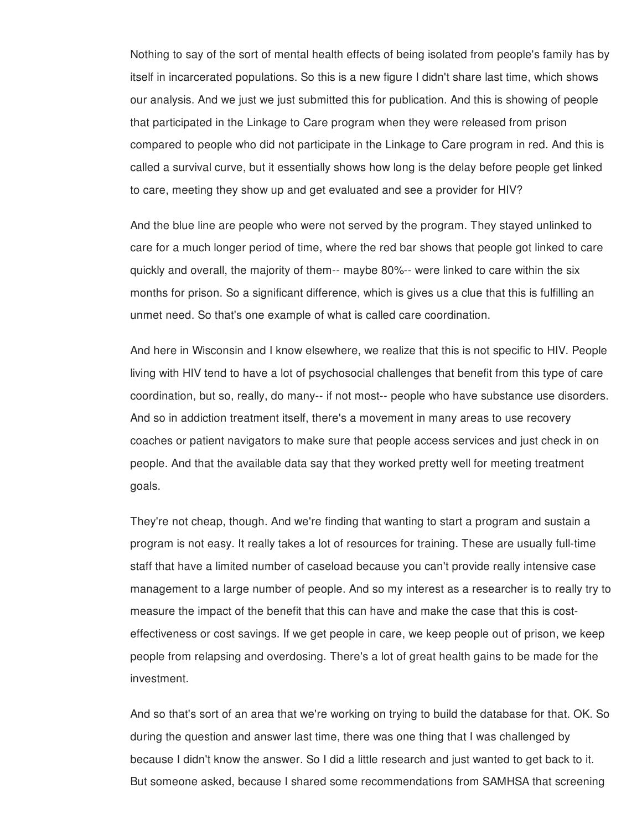Nothing to say of the sort of mental health effects of being isolated from people's family has by itself in incarcerated populations. So this is a new figure I didn't share last time, which shows our analysis. And we just we just submitted this for publication. And this is showing of people that participated in the Linkage to Care program when they were released from prison compared to people who did not participate in the Linkage to Care program in red. And this is called a survival curve, but it essentially shows how long is the delay before people get linked to care, meeting they show up and get evaluated and see a provider for HIV?

And the blue line are people who were not served by the program. They stayed unlinked to care for a much longer period of time, where the red bar shows that people got linked to care quickly and overall, the majority of them-- maybe 80%-- were linked to care within the six months for prison. So a significant difference, which is gives us a clue that this is fulfilling an unmet need. So that's one example of what is called care coordination.

And here in Wisconsin and I know elsewhere, we realize that this is not specific to HIV. People living with HIV tend to have a lot of psychosocial challenges that benefit from this type of care coordination, but so, really, do many-- if not most-- people who have substance use disorders. And so in addiction treatment itself, there's a movement in many areas to use recovery coaches or patient navigators to make sure that people access services and just check in on people. And that the available data say that they worked pretty well for meeting treatment goals.

They're not cheap, though. And we're finding that wanting to start a program and sustain a program is not easy. It really takes a lot of resources for training. These are usually full-time staff that have a limited number of caseload because you can't provide really intensive case management to a large number of people. And so my interest as a researcher is to really try to measure the impact of the benefit that this can have and make the case that this is costeffectiveness or cost savings. If we get people in care, we keep people out of prison, we keep people from relapsing and overdosing. There's a lot of great health gains to be made for the investment.

And so that's sort of an area that we're working on trying to build the database for that. OK. So during the question and answer last time, there was one thing that I was challenged by because I didn't know the answer. So I did a little research and just wanted to get back to it. But someone asked, because I shared some recommendations from SAMHSA that screening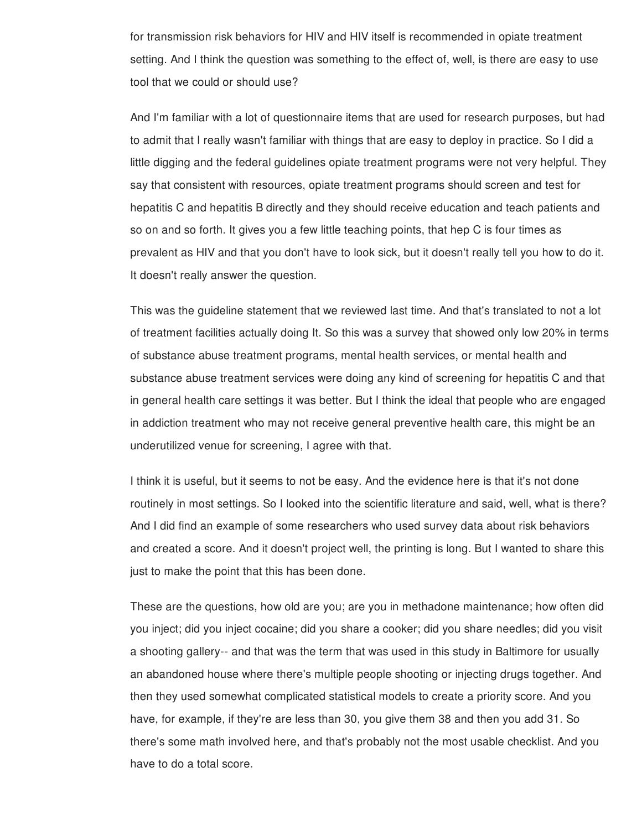for transmission risk behaviors for HIV and HIV itself is recommended in opiate treatment setting. And I think the question was something to the effect of, well, is there are easy to use tool that we could or should use?

And I'm familiar with a lot of questionnaire items that are used for research purposes, but had to admit that I really wasn't familiar with things that are easy to deploy in practice. So I did a little digging and the federal guidelines opiate treatment programs were not very helpful. They say that consistent with resources, opiate treatment programs should screen and test for hepatitis C and hepatitis B directly and they should receive education and teach patients and so on and so forth. It gives you a few little teaching points, that hep C is four times as prevalent as HIV and that you don't have to look sick, but it doesn't really tell you how to do it. It doesn't really answer the question.

This was the guideline statement that we reviewed last time. And that's translated to not a lot of treatment facilities actually doing It. So this was a survey that showed only low 20% in terms of substance abuse treatment programs, mental health services, or mental health and substance abuse treatment services were doing any kind of screening for hepatitis C and that in general health care settings it was better. But I think the ideal that people who are engaged in addiction treatment who may not receive general preventive health care, this might be an underutilized venue for screening, I agree with that.

I think it is useful, but it seems to not be easy. And the evidence here is that it's not done routinely in most settings. So I looked into the scientific literature and said, well, what is there? And I did find an example of some researchers who used survey data about risk behaviors and created a score. And it doesn't project well, the printing is long. But I wanted to share this just to make the point that this has been done.

These are the questions, how old are you; are you in methadone maintenance; how often did you inject; did you inject cocaine; did you share a cooker; did you share needles; did you visit a shooting gallery-- and that was the term that was used in this study in Baltimore for usually an abandoned house where there's multiple people shooting or injecting drugs together. And then they used somewhat complicated statistical models to create a priority score. And you have, for example, if they're are less than 30, you give them 38 and then you add 31. So there's some math involved here, and that's probably not the most usable checklist. And you have to do a total score.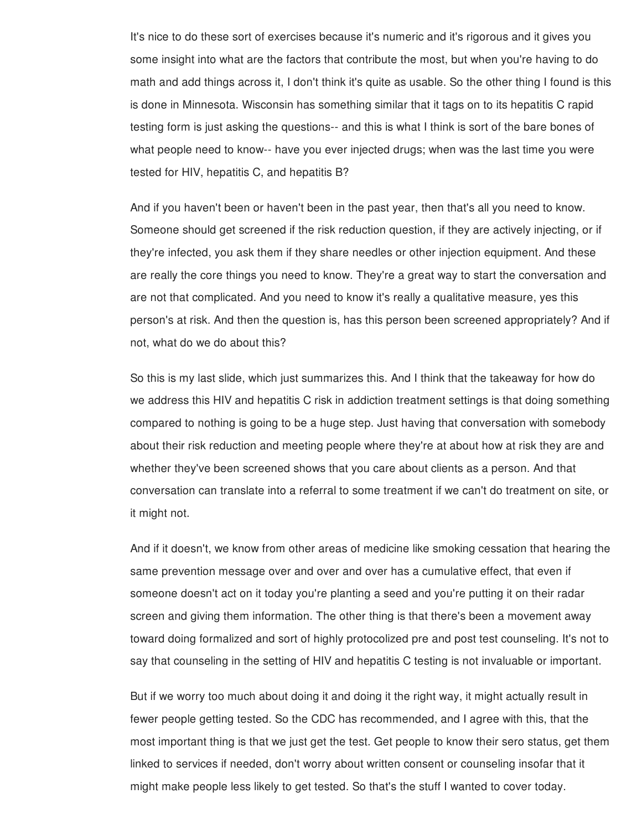It's nice to do these sort of exercises because it's numeric and it's rigorous and it gives you some insight into what are the factors that contribute the most, but when you're having to do math and add things across it, I don't think it's quite as usable. So the other thing I found is this is done in Minnesota. Wisconsin has something similar that it tags on to its hepatitis C rapid testing form is just asking the questions-- and this is what I think is sort of the bare bones of what people need to know-- have you ever injected drugs; when was the last time you were tested for HIV, hepatitis C, and hepatitis B?

And if you haven't been or haven't been in the past year, then that's all you need to know. Someone should get screened if the risk reduction question, if they are actively injecting, or if they're infected, you ask them if they share needles or other injection equipment. And these are really the core things you need to know. They're a great way to start the conversation and are not that complicated. And you need to know it's really a qualitative measure, yes this person's at risk. And then the question is, has this person been screened appropriately? And if not, what do we do about this?

So this is my last slide, which just summarizes this. And I think that the takeaway for how do we address this HIV and hepatitis C risk in addiction treatment settings is that doing something compared to nothing is going to be a huge step. Just having that conversation with somebody about their risk reduction and meeting people where they're at about how at risk they are and whether they've been screened shows that you care about clients as a person. And that conversation can translate into a referral to some treatment if we can't do treatment on site, or it might not.

And if it doesn't, we know from other areas of medicine like smoking cessation that hearing the same prevention message over and over and over has a cumulative effect, that even if someone doesn't act on it today you're planting a seed and you're putting it on their radar screen and giving them information. The other thing is that there's been a movement away toward doing formalized and sort of highly protocolized pre and post test counseling. It's not to say that counseling in the setting of HIV and hepatitis C testing is not invaluable or important.

But if we worry too much about doing it and doing it the right way, it might actually result in fewer people getting tested. So the CDC has recommended, and I agree with this, that the most important thing is that we just get the test. Get people to know their sero status, get them linked to services if needed, don't worry about written consent or counseling insofar that it might make people less likely to get tested. So that's the stuff I wanted to cover today.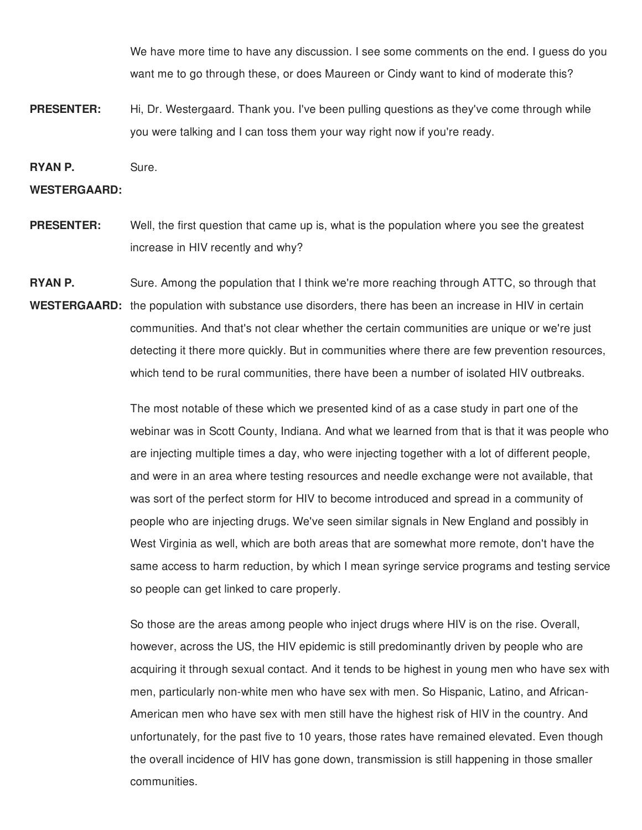We have more time to have any discussion. I see some comments on the end. I guess do you want me to go through these, or does Maureen or Cindy want to kind of moderate this?

**PRESENTER:** Hi, Dr. Westergaard. Thank you. I've been pulling questions as they've come through while you were talking and I can toss them your way right now if you're ready.

**RYAN P.** Sure.

## **WESTERGAARD:**

**PRESENTER:** Well, the first question that came up is, what is the population where you see the greatest increase in HIV recently and why?

**RYAN P.** WESTERGAARD: the population with substance use disorders, there has been an increase in HIV in certain Sure. Among the population that I think we're more reaching through ATTC, so through that communities. And that's not clear whether the certain communities are unique or we're just detecting it there more quickly. But in communities where there are few prevention resources, which tend to be rural communities, there have been a number of isolated HIV outbreaks.

> The most notable of these which we presented kind of as a case study in part one of the webinar was in Scott County, Indiana. And what we learned from that is that it was people who are injecting multiple times a day, who were injecting together with a lot of different people, and were in an area where testing resources and needle exchange were not available, that was sort of the perfect storm for HIV to become introduced and spread in a community of people who are injecting drugs. We've seen similar signals in New England and possibly in West Virginia as well, which are both areas that are somewhat more remote, don't have the same access to harm reduction, by which I mean syringe service programs and testing service so people can get linked to care properly.

> So those are the areas among people who inject drugs where HIV is on the rise. Overall, however, across the US, the HIV epidemic is still predominantly driven by people who are acquiring it through sexual contact. And it tends to be highest in young men who have sex with men, particularly non-white men who have sex with men. So Hispanic, Latino, and African-American men who have sex with men still have the highest risk of HIV in the country. And unfortunately, for the past five to 10 years, those rates have remained elevated. Even though the overall incidence of HIV has gone down, transmission is still happening in those smaller communities.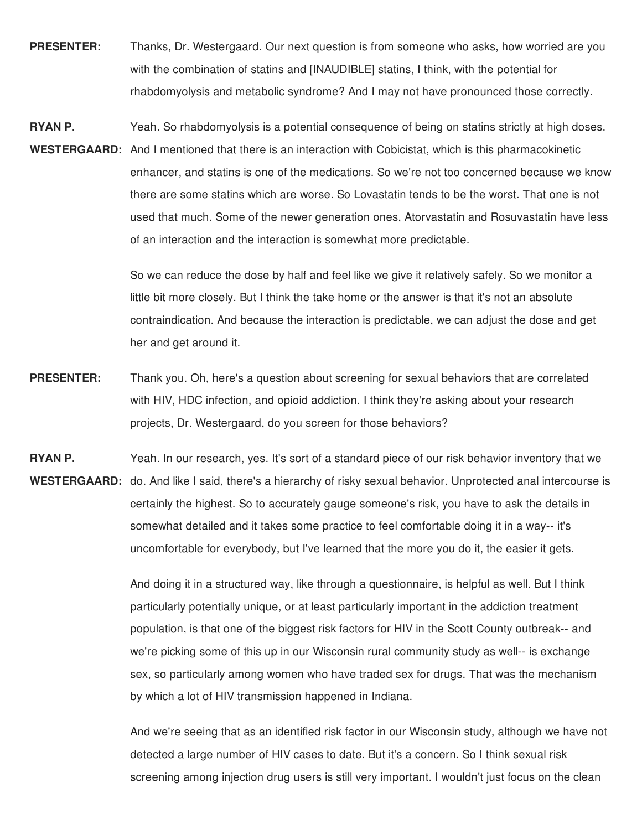**PRESENTER:** Thanks, Dr. Westergaard. Our next question is from someone who asks, how worried are you with the combination of statins and [INAUDIBLE] statins, I think, with the potential for rhabdomyolysis and metabolic syndrome? And I may not have pronounced those correctly.

**RYAN P.** WESTERGAARD: And I mentioned that there is an interaction with Cobicistat, which is this pharmacokinetic Yeah. So rhabdomyolysis is a potential consequence of being on statins strictly at high doses. enhancer, and statins is one of the medications. So we're not too concerned because we know there are some statins which are worse. So Lovastatin tends to be the worst. That one is not used that much. Some of the newer generation ones, Atorvastatin and Rosuvastatin have less of an interaction and the interaction is somewhat more predictable.

> So we can reduce the dose by half and feel like we give it relatively safely. So we monitor a little bit more closely. But I think the take home or the answer is that it's not an absolute contraindication. And because the interaction is predictable, we can adjust the dose and get her and get around it.

- **PRESENTER:** Thank you. Oh, here's a question about screening for sexual behaviors that are correlated with HIV, HDC infection, and opioid addiction. I think they're asking about your research projects, Dr. Westergaard, do you screen for those behaviors?
- **RYAN P.** WESTERGAARD: do. And like I said, there's a hierarchy of risky sexual behavior. Unprotected anal intercourse is Yeah. In our research, yes. It's sort of a standard piece of our risk behavior inventory that we certainly the highest. So to accurately gauge someone's risk, you have to ask the details in somewhat detailed and it takes some practice to feel comfortable doing it in a way-- it's uncomfortable for everybody, but I've learned that the more you do it, the easier it gets.

And doing it in a structured way, like through a questionnaire, is helpful as well. But I think particularly potentially unique, or at least particularly important in the addiction treatment population, is that one of the biggest risk factors for HIV in the Scott County outbreak-- and we're picking some of this up in our Wisconsin rural community study as well-- is exchange sex, so particularly among women who have traded sex for drugs. That was the mechanism by which a lot of HIV transmission happened in Indiana.

And we're seeing that as an identified risk factor in our Wisconsin study, although we have not detected a large number of HIV cases to date. But it's a concern. So I think sexual risk screening among injection drug users is still very important. I wouldn't just focus on the clean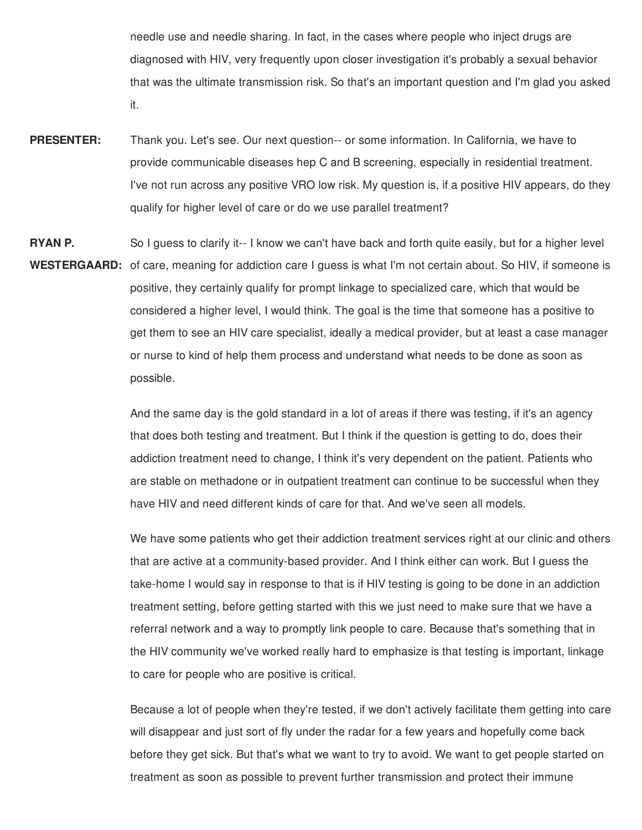needle use and needle sharing. In fact, in the cases where people who inject drugs are diagnosed with HIV, very frequently upon closer investigation it's probably a sexual behavior that was the ultimate transmission risk. So that's an important question and I'm glad you asked it.

- **PRESENTER:** Thank you. Let's see. Our next question-- or some information. In California, we have to provide communicable diseases hep C and B screening, especially in residential treatment. I've not run across any positive VRO low risk. My question is, if a positive HIV appears, do they qualify for higher level of care or do we use parallel treatment?
- **RYAN P.** WESTERGAARD: of care, meaning for addiction care I guess is what I'm not certain about. So HIV, if someone is So I guess to clarify it-- I know we can't have back and forth quite easily, but for a higher level positive, they certainly qualify for prompt linkage to specialized care, which that would be considered a higher level, I would think. The goal is the time that someone has a positive to get them to see an HIV care specialist, ideally a medical provider, but at least a case manager or nurse to kind of help them process and understand what needs to be done as soon as possible.

And the same day is the gold standard in a lot of areas if there was testing, if it's an agency that does both testing and treatment. But I think if the question is getting to do, does their addiction treatment need to change, I think it's very dependent on the patient. Patients who are stable on methadone or in outpatient treatment can continue to be successful when they have HIV and need different kinds of care for that. And we've seen all models.

We have some patients who get their addiction treatment services right at our clinic and others that are active at a community-based provider. And I think either can work. But I guess the take-home I would say in response to that is if HIV testing is going to be done in an addiction treatment setting, before getting started with this we just need to make sure that we have a referral network and a way to promptly link people to care. Because that's something that in the HIV community we've worked really hard to emphasize is that testing is important, linkage to care for people who are positive is critical.

Because a lot of people when they're tested, if we don't actively facilitate them getting into care will disappear and just sort of fly under the radar for a few years and hopefully come back before they get sick. But that's what we want to try to avoid. We want to get people started on treatment as soon as possible to prevent further transmission and protect their immune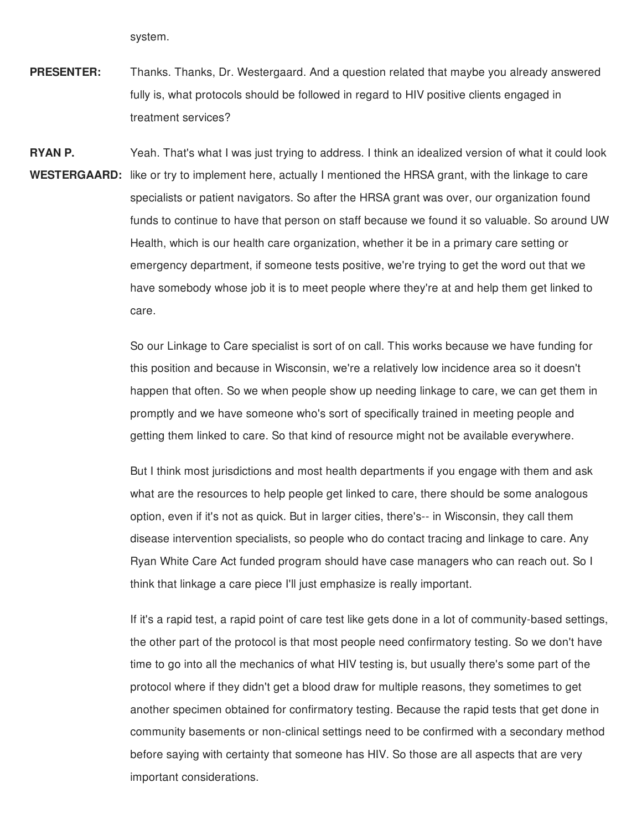system.

**PRESENTER:** Thanks. Thanks, Dr. Westergaard. And a question related that maybe you already answered fully is, what protocols should be followed in regard to HIV positive clients engaged in treatment services?

**RYAN P.** WESTERGAARD: like or try to implement here, actually I mentioned the HRSA grant, with the linkage to care Yeah. That's what I was just trying to address. I think an idealized version of what it could look specialists or patient navigators. So after the HRSA grant was over, our organization found funds to continue to have that person on staff because we found it so valuable. So around UW Health, which is our health care organization, whether it be in a primary care setting or emergency department, if someone tests positive, we're trying to get the word out that we have somebody whose job it is to meet people where they're at and help them get linked to care.

> So our Linkage to Care specialist is sort of on call. This works because we have funding for this position and because in Wisconsin, we're a relatively low incidence area so it doesn't happen that often. So we when people show up needing linkage to care, we can get them in promptly and we have someone who's sort of specifically trained in meeting people and getting them linked to care. So that kind of resource might not be available everywhere.

> But I think most jurisdictions and most health departments if you engage with them and ask what are the resources to help people get linked to care, there should be some analogous option, even if it's not as quick. But in larger cities, there's-- in Wisconsin, they call them disease intervention specialists, so people who do contact tracing and linkage to care. Any Ryan White Care Act funded program should have case managers who can reach out. So I think that linkage a care piece I'll just emphasize is really important.

If it's a rapid test, a rapid point of care test like gets done in a lot of community-based settings, the other part of the protocol is that most people need confirmatory testing. So we don't have time to go into all the mechanics of what HIV testing is, but usually there's some part of the protocol where if they didn't get a blood draw for multiple reasons, they sometimes to get another specimen obtained for confirmatory testing. Because the rapid tests that get done in community basements or non-clinical settings need to be confirmed with a secondary method before saying with certainty that someone has HIV. So those are all aspects that are very important considerations.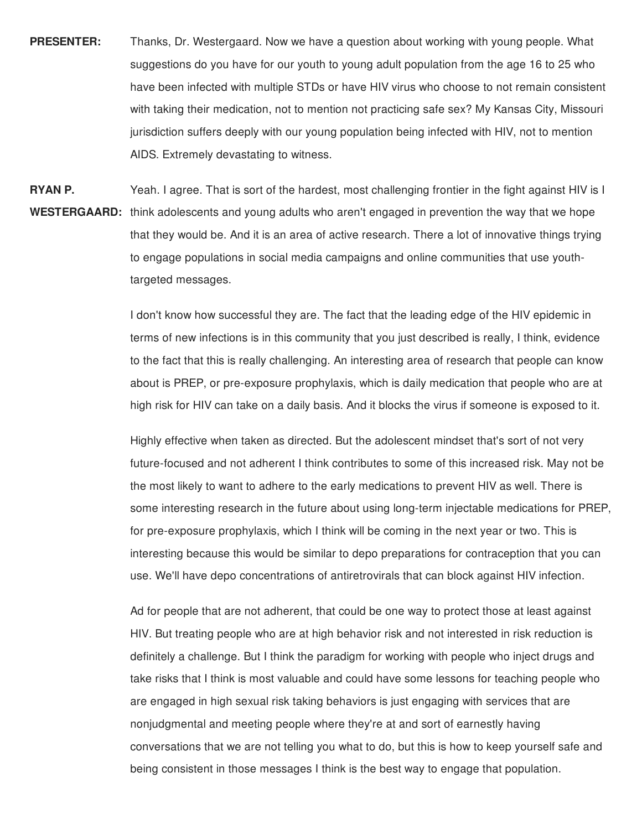- **PRESENTER:** Thanks, Dr. Westergaard. Now we have a question about working with young people. What suggestions do you have for our youth to young adult population from the age 16 to 25 who have been infected with multiple STDs or have HIV virus who choose to not remain consistent with taking their medication, not to mention not practicing safe sex? My Kansas City, Missouri jurisdiction suffers deeply with our young population being infected with HIV, not to mention AIDS. Extremely devastating to witness.
- **RYAN P.** WESTERGAARD: think adolescents and young adults who aren't engaged in prevention the way that we hope Yeah. I agree. That is sort of the hardest, most challenging frontier in the fight against HIV is I that they would be. And it is an area of active research. There a lot of innovative things trying to engage populations in social media campaigns and online communities that use youthtargeted messages.

I don't know how successful they are. The fact that the leading edge of the HIV epidemic in terms of new infections is in this community that you just described is really, I think, evidence to the fact that this is really challenging. An interesting area of research that people can know about is PREP, or pre-exposure prophylaxis, which is daily medication that people who are at high risk for HIV can take on a daily basis. And it blocks the virus if someone is exposed to it.

Highly effective when taken as directed. But the adolescent mindset that's sort of not very future-focused and not adherent I think contributes to some of this increased risk. May not be the most likely to want to adhere to the early medications to prevent HIV as well. There is some interesting research in the future about using long-term injectable medications for PREP, for pre-exposure prophylaxis, which I think will be coming in the next year or two. This is interesting because this would be similar to depo preparations for contraception that you can use. We'll have depo concentrations of antiretrovirals that can block against HIV infection.

Ad for people that are not adherent, that could be one way to protect those at least against HIV. But treating people who are at high behavior risk and not interested in risk reduction is definitely a challenge. But I think the paradigm for working with people who inject drugs and take risks that I think is most valuable and could have some lessons for teaching people who are engaged in high sexual risk taking behaviors is just engaging with services that are nonjudgmental and meeting people where they're at and sort of earnestly having conversations that we are not telling you what to do, but this is how to keep yourself safe and being consistent in those messages I think is the best way to engage that population.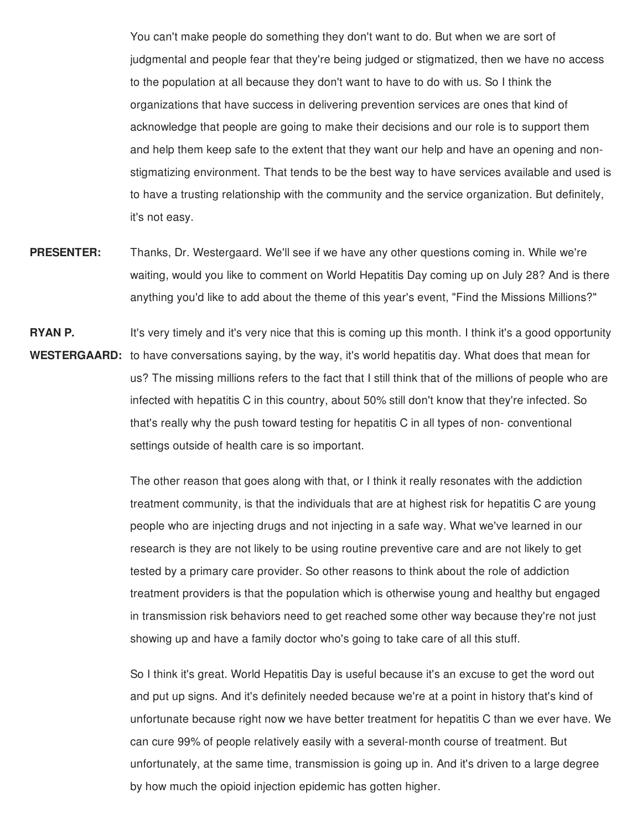You can't make people do something they don't want to do. But when we are sort of judgmental and people fear that they're being judged or stigmatized, then we have no access to the population at all because they don't want to have to do with us. So I think the organizations that have success in delivering prevention services are ones that kind of acknowledge that people are going to make their decisions and our role is to support them and help them keep safe to the extent that they want our help and have an opening and nonstigmatizing environment. That tends to be the best way to have services available and used is to have a trusting relationship with the community and the service organization. But definitely, it's not easy.

- **PRESENTER:** Thanks, Dr. Westergaard. We'll see if we have any other questions coming in. While we're waiting, would you like to comment on World Hepatitis Day coming up on July 28? And is there anything you'd like to add about the theme of this year's event, "Find the Missions Millions?"
- **RYAN P.** WESTERGAARD: to have conversations saying, by the way, it's world hepatitis day. What does that mean for It's very timely and it's very nice that this is coming up this month. I think it's a good opportunity us? The missing millions refers to the fact that I still think that of the millions of people who are infected with hepatitis C in this country, about 50% still don't know that they're infected. So that's really why the push toward testing for hepatitis C in all types of non- conventional settings outside of health care is so important.

The other reason that goes along with that, or I think it really resonates with the addiction treatment community, is that the individuals that are at highest risk for hepatitis C are young people who are injecting drugs and not injecting in a safe way. What we've learned in our research is they are not likely to be using routine preventive care and are not likely to get tested by a primary care provider. So other reasons to think about the role of addiction treatment providers is that the population which is otherwise young and healthy but engaged in transmission risk behaviors need to get reached some other way because they're not just showing up and have a family doctor who's going to take care of all this stuff.

So I think it's great. World Hepatitis Day is useful because it's an excuse to get the word out and put up signs. And it's definitely needed because we're at a point in history that's kind of unfortunate because right now we have better treatment for hepatitis C than we ever have. We can cure 99% of people relatively easily with a several-month course of treatment. But unfortunately, at the same time, transmission is going up in. And it's driven to a large degree by how much the opioid injection epidemic has gotten higher.